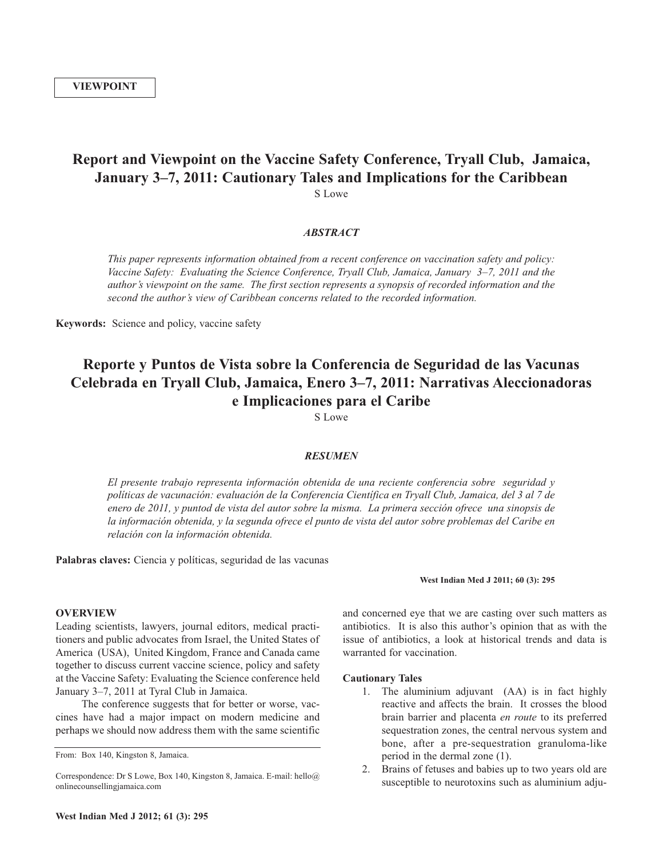## **Report and Viewpoint on the Vaccine Safety Conference, Tryall Club, Jamaica, January 3–7, 2011: Cautionary Tales and Implications for the Caribbean** S Lowe

## *ABSTRACT*

*This paper represents information obtained from a recent conference on vaccination safety and policy: Vaccine Safety: Evaluating the Science Conference, Tryall Club, Jamaica, January 3–7, 2011 and the author's viewpoint on the same. The first section represents a synopsis of recorded information and the second the author's view of Caribbean concerns related to the recorded information.*

**Keywords:** Science and policy, vaccine safety

# **Reporte y Puntos de Vista sobre la Conferencia de Seguridad de las Vacunas Celebrada en Tryall Club, Jamaica, Enero 3–7, 2011: Narrativas Aleccionadoras e Implicaciones para el Caribe**

S Lowe

#### *RESUMEN*

*El presente trabajo representa información obtenida de una reciente conferencia sobre seguridad y políticas de vacunación: evaluación de la Conferencia Científica en Tryall Club, Jamaica, del 3 al 7 de* enero de 2011, y puntod de vista del autor sobre la misma. La primera sección ofrece una sinopsis de la información obtenida, y la segunda ofrece el punto de vista del autor sobre problemas del Caribe en *relación con la información obtenida.*

**Palabras claves:** Ciencia y políticas, seguridad de las vacunas

#### **West Indian Med J 2011; 60 (3): 295**

#### **OVERVIEW**

Leading scientists, lawyers, journal editors, medical practitioners and public advocates from Israel, the United States of America (USA), United Kingdom, France and Canada came together to discuss current vaccine science, policy and safety at the Vaccine Safety: Evaluating the Science conference held January 3–7, 2011 at Tyral Club in Jamaica.

The conference suggests that for better or worse, vaccines have had a major impact on modern medicine and perhaps we should now address them with the same scientific

and concerned eye that we are casting over such matters as antibiotics. It is also this author's opinion that as with the issue of antibiotics, a look at historical trends and data is warranted for vaccination.

## **Cautionary Tales**

- 1. The aluminium adjuvant (AA) is in fact highly reactive and affects the brain. It crosses the blood brain barrier and placenta *en route* to its preferred sequestration zones, the central nervous system and bone, after a pre-sequestration granuloma-like period in the dermal zone (1).
- 2. Brains of fetuses and babies up to two years old are susceptible to neurotoxins such as aluminium adju-

From: Box 140, Kingston 8, Jamaica.

Correspondence: Dr S Lowe, Box 140, Kingston 8, Jamaica. E-mail: hello@ onlinecounsellingjamaica.com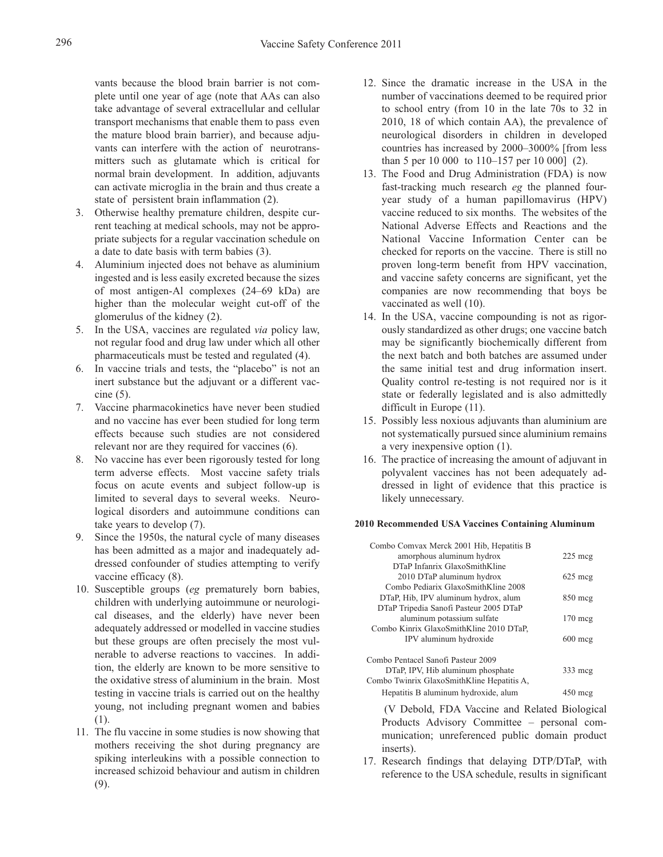vants because the blood brain barrier is not complete until one year of age (note that AAs can also take advantage of several extracellular and cellular transport mechanisms that enable them to pass even the mature blood brain barrier), and because adjuvants can interfere with the action of neurotransmitters such as glutamate which is critical for normal brain development. In addition, adjuvants can activate microglia in the brain and thus create a state of persistent brain inflammation (2).

- 3. Otherwise healthy premature children, despite current teaching at medical schools, may not be appropriate subjects for a regular vaccination schedule on a date to date basis with term babies (3).
- 4. Aluminium injected does not behave as aluminium ingested and is less easily excreted because the sizes of most antigen-Al complexes (24–69 kDa) are higher than the molecular weight cut-off of the glomerulus of the kidney (2).
- 5. In the USA, vaccines are regulated *via* policy law, not regular food and drug law under which all other pharmaceuticals must be tested and regulated (4).
- 6. In vaccine trials and tests, the "placebo" is not an inert substance but the adjuvant or a different vaccine (5).
- 7. Vaccine pharmacokinetics have never been studied and no vaccine has ever been studied for long term effects because such studies are not considered relevant nor are they required for vaccines (6).
- 8. No vaccine has ever been rigorously tested for long term adverse effects. Most vaccine safety trials focus on acute events and subject follow-up is limited to several days to several weeks. Neurological disorders and autoimmune conditions can take years to develop (7).
- 9. Since the 1950s, the natural cycle of many diseases has been admitted as a major and inadequately addressed confounder of studies attempting to verify vaccine efficacy (8).
- 10. Susceptible groups (*eg* prematurely born babies, children with underlying autoimmune or neurological diseases, and the elderly) have never been adequately addressed or modelled in vaccine studies but these groups are often precisely the most vulnerable to adverse reactions to vaccines. In addition, the elderly are known to be more sensitive to the oxidative stress of aluminium in the brain. Most testing in vaccine trials is carried out on the healthy young, not including pregnant women and babies (1).
- 11. The flu vaccine in some studies is now showing that mothers receiving the shot during pregnancy are spiking interleukins with a possible connection to increased schizoid behaviour and autism in children (9).
- 12. Since the dramatic increase in the USA in the number of vaccinations deemed to be required prior to school entry (from 10 in the late 70s to 32 in 2010, 18 of which contain AA), the prevalence of neurological disorders in children in developed countries has increased by 2000–3000% [from less than 5 per 10 000 to 110–157 per 10 000] (2).
- 13. The Food and Drug Administration (FDA) is now fast-tracking much research *eg* the planned fouryear study of a human papillomavirus (HPV) vaccine reduced to six months. The websites of the National Adverse Effects and Reactions and the National Vaccine Information Center can be checked for reports on the vaccine. There is still no proven long-term benefit from HPV vaccination, and vaccine safety concerns are significant, yet the companies are now recommending that boys be vaccinated as well (10).
- 14. In the USA, vaccine compounding is not as rigorously standardized as other drugs; one vaccine batch may be significantly biochemically different from the next batch and both batches are assumed under the same initial test and drug information insert. Quality control re-testing is not required nor is it state or federally legislated and is also admittedly difficult in Europe (11).
- 15. Possibly less noxious adjuvants than aluminium are not systematically pursued since aluminium remains a very inexpensive option (1).
- 16. The practice of increasing the amount of adjuvant in polyvalent vaccines has not been adequately addressed in light of evidence that this practice is likely unnecessary.

#### **2010 Recommended USA Vaccines Containing Aluminum**

| Combo Comvax Merck 2001 Hib, Hepatitis B   |                   |
|--------------------------------------------|-------------------|
| amorphous aluminum hydrox                  | $225 \text{~me}$  |
| DTaP Infanrix GlaxoSmithKline              |                   |
| 2010 DTaP aluminum hydrox                  | $625 \text{~meq}$ |
| Combo Pediarix GlaxoSmithKline 2008        |                   |
| DTaP, Hib, IPV aluminum hydrox, alum       | $850$ mcg         |
| DTaP Tripedia Sanofi Pasteur 2005 DTaP     |                   |
| aluminum potassium sulfate                 | $170 \text{~me}$  |
| Combo Kinrix GlaxoSmithKline 2010 DTaP,    |                   |
| IPV aluminum hydroxide                     | $600$ mcg         |
|                                            |                   |
| Combo Pentacel Sanofi Pasteur 2009         |                   |
| DTaP, IPV, Hib aluminum phosphate          | $333$ mcg         |
| Combo Twinrix GlaxoSmithKline Hepatitis A, |                   |
| Hepatitis B aluminum hydroxide, alum       | $450 \text{ mcg}$ |
|                                            |                   |

(V Debold, FDA Vaccine and Related Biological Products Advisory Committee – personal communication; unreferenced public domain product inserts).

17. Research findings that delaying DTP/DTaP, with reference to the USA schedule, results in significant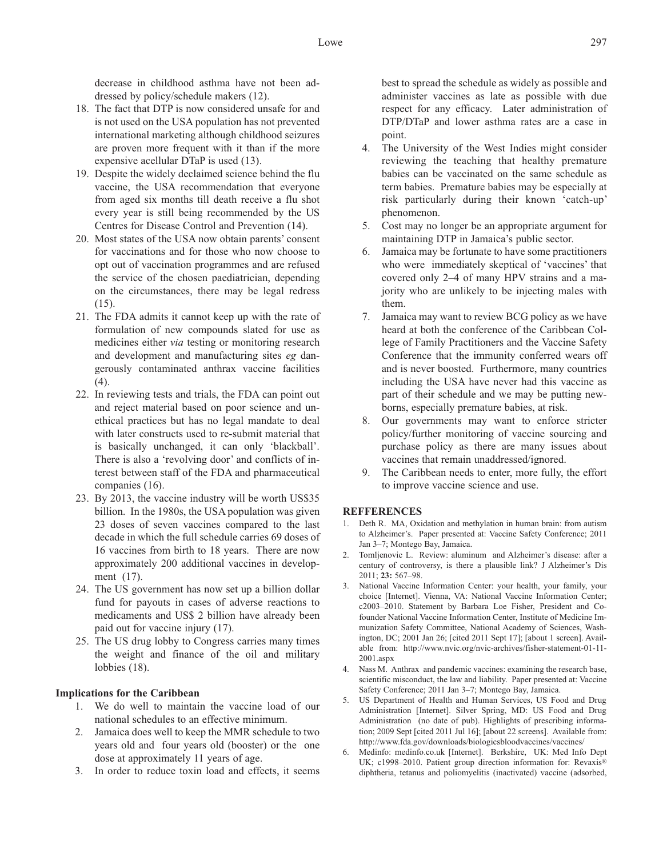decrease in childhood asthma have not been addressed by policy/schedule makers (12).

- 18. The fact that DTP is now considered unsafe for and is not used on the USA population has not prevented international marketing although childhood seizures are proven more frequent with it than if the more expensive acellular DTaP is used (13).
- 19. Despite the widely declaimed science behind the flu vaccine, the USA recommendation that everyone from aged six months till death receive a flu shot every year is still being recommended by the US Centres for Disease Control and Prevention (14).
- 20. Most states of the USA now obtain parents' consent for vaccinations and for those who now choose to opt out of vaccination programmes and are refused the service of the chosen paediatrician, depending on the circumstances, there may be legal redress (15).
- 21. The FDA admits it cannot keep up with the rate of formulation of new compounds slated for use as medicines either *via* testing or monitoring research and development and manufacturing sites *eg* dangerously contaminated anthrax vaccine facilities (4).
- 22. In reviewing tests and trials, the FDA can point out and reject material based on poor science and unethical practices but has no legal mandate to deal with later constructs used to re-submit material that is basically unchanged, it can only 'blackball'. There is also a 'revolving door' and conflicts of interest between staff of the FDA and pharmaceutical companies (16).
- 23. By 2013, the vaccine industry will be worth US\$35 billion. In the 1980s, the USA population was given 23 doses of seven vaccines compared to the last decade in which the full schedule carries 69 doses of 16 vaccines from birth to 18 years. There are now approximately 200 additional vaccines in development (17).
- 24. The US government has now set up a billion dollar fund for payouts in cases of adverse reactions to medicaments and US\$ 2 billion have already been paid out for vaccine injury (17).
- 25. The US drug lobby to Congress carries many times the weight and finance of the oil and military lobbies (18).

## **Implications for the Caribbean**

- 1. We do well to maintain the vaccine load of our national schedules to an effective minimum.
- 2. Jamaica does well to keep the MMR schedule to two years old and four years old (booster) or the one dose at approximately 11 years of age.
- 3. In order to reduce toxin load and effects, it seems

best to spread the schedule as widely as possible and administer vaccines as late as possible with due respect for any efficacy. Later administration of DTP/DTaP and lower asthma rates are a case in point.

- 4. The University of the West Indies might consider reviewing the teaching that healthy premature babies can be vaccinated on the same schedule as term babies. Premature babies may be especially at risk particularly during their known 'catch-up' phenomenon.
- 5. Cost may no longer be an appropriate argument for maintaining DTP in Jamaica's public sector.
- 6. Jamaica may be fortunate to have some practitioners who were immediately skeptical of 'vaccines' that covered only 2–4 of many HPV strains and a majority who are unlikely to be injecting males with them.
- 7. Jamaica may want to review BCG policy as we have heard at both the conference of the Caribbean College of Family Practitioners and the Vaccine Safety Conference that the immunity conferred wears off and is never boosted. Furthermore, many countries including the USA have never had this vaccine as part of their schedule and we may be putting newborns, especially premature babies, at risk.
- 8. Our governments may want to enforce stricter policy/further monitoring of vaccine sourcing and purchase policy as there are many issues about vaccines that remain unaddressed/ignored.
- 9. The Caribbean needs to enter, more fully, the effort to improve vaccine science and use.

## **REFFERENCES**

- 1. Deth R. MA, Oxidation and methylation in human brain: from autism to Alzheimer's. Paper presented at: Vaccine Safety Conference; 2011 Jan 3–7; Montego Bay, Jamaica.
- 2. Tomljenovic L. Review: aluminum and Alzheimer's disease: after a century of controversy, is there a plausible link? J Alzheimer's Dis 2011; **23:** 567–98.
- 3. National Vaccine Information Center: your health, your family, your choice [Internet]. Vienna, VA: National Vaccine Information Center; c2003–2010. Statement by Barbara Loe Fisher, President and Cofounder National Vaccine Information Center, Institute of Medicine Immunization Safety Committee, National Academy of Sciences, Washington, DC; 2001 Jan 26; [cited 2011 Sept 17]; [about 1 screen]. Available from: http://www.nvic.org/nvic-archives/fisher-statement-01-11- 2001.aspx
- 4. Nass M. Anthrax and pandemic vaccines: examining the research base, scientific misconduct, the law and liability. Paper presented at: Vaccine Safety Conference; 2011 Jan 3–7; Montego Bay, Jamaica.
- 5. US Department of Health and Human Services, US Food and Drug Administration [Internet]. Silver Spring, MD: US Food and Drug Administration (no date of pub). Highlights of prescribing information; 2009 Sept [cited 2011 Jul 16]; [about 22 screens]. Available from: http://www.fda.gov/downloads/biologicsbloodvaccines/vaccines/
- 6. Medinfo: medinfo.co.uk [Internet]. Berkshire, UK: Med Info Dept UK; c1998-2010. Patient group direction information for: Revaxis® diphtheria, tetanus and poliomyelitis (inactivated) vaccine (adsorbed,